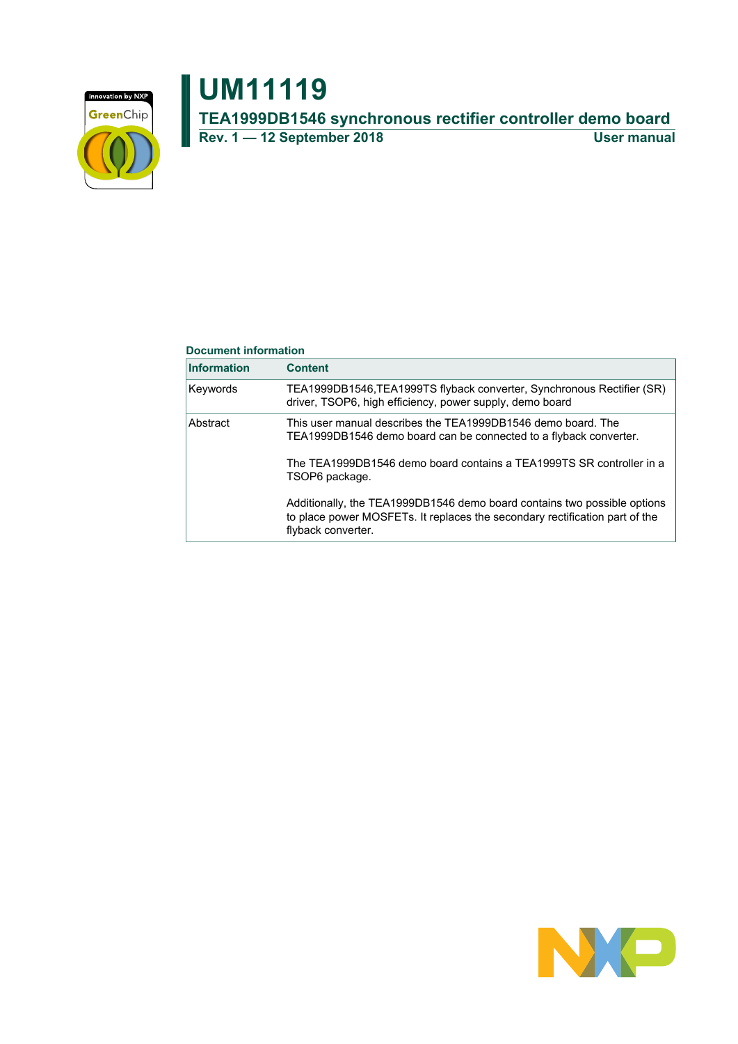

## **UM11119 TEA1999DB1546 synchronous rectifier controller demo board Rev. 1 — 12 September 2018 User manual**

### **Document information**

| <b>Information</b> | <b>Content</b>                                                                                                                                                                                                              |
|--------------------|-----------------------------------------------------------------------------------------------------------------------------------------------------------------------------------------------------------------------------|
| Keywords           | TEA1999DB1546, TEA1999TS flyback converter, Synchronous Rectifier (SR)<br>driver, TSOP6, high efficiency, power supply, demo board                                                                                          |
| Abstract           | This user manual describes the TEA1999DB1546 demo board. The<br>TEA1999DB1546 demo board can be connected to a flyback converter.<br>The TEA1999DB1546 demo board contains a TEA1999TS SR controller in a<br>TSOP6 package. |
|                    | Additionally, the TEA1999DB1546 demo board contains two possible options<br>to place power MOSFETs. It replaces the secondary rectification part of the<br>flyback converter.                                               |

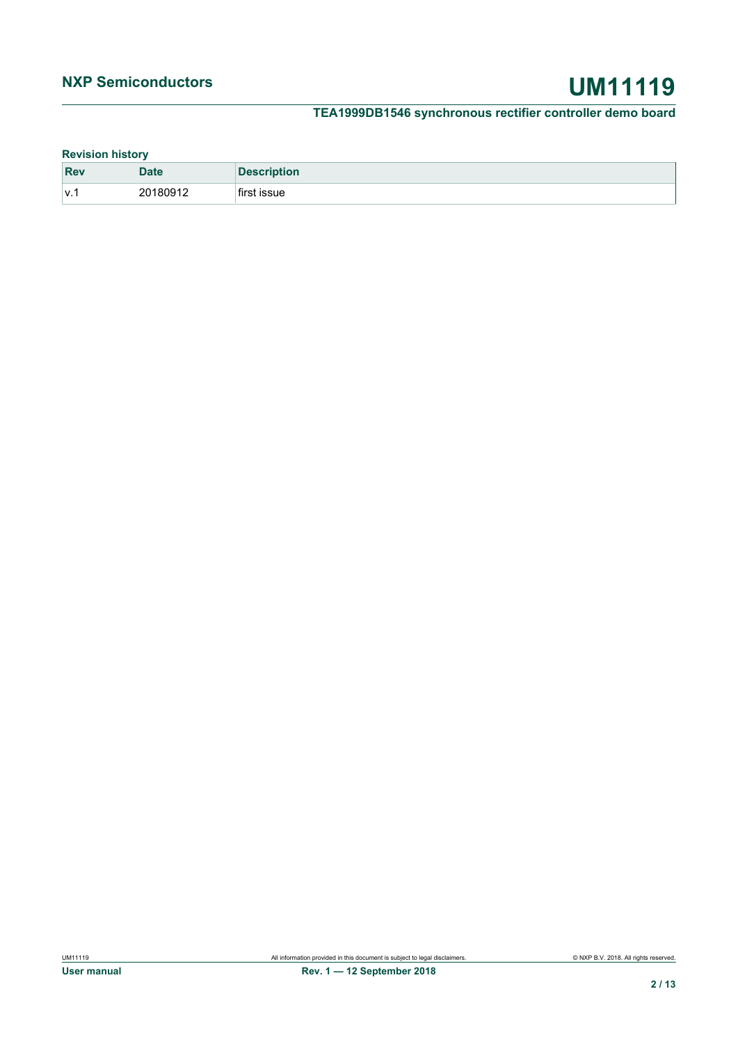### **Revision history**

| <b>Rev</b> | <b>Date</b> | <b>Description</b> |
|------------|-------------|--------------------|
| V.1        | 20180912    | first issue        |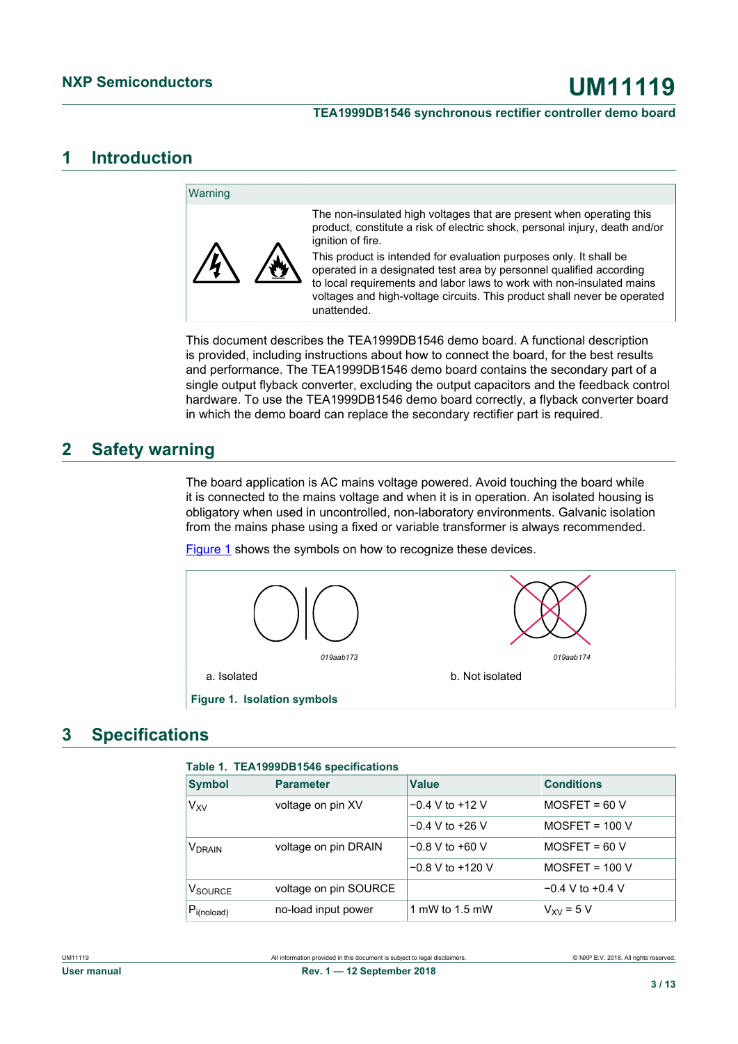## <span id="page-2-1"></span>**1 Introduction**

#### **Warning** The non-insulated high voltages that are present when operating this product, constitute a risk of electric shock, personal injury, death and/or ignition of fire. This product is intended for evaluation purposes only. It shall be operated in a designated test area by personnel qualified according to local requirements and labor laws to work with non-insulated mains voltages and high-voltage circuits. This product shall never be operated unattended.

This document describes the TEA1999DB1546 demo board. A functional description is provided, including instructions about how to connect the board, for the best results and performance. The TEA1999DB1546 demo board contains the secondary part of a single output flyback converter, excluding the output capacitors and the feedback control hardware. To use the TEA1999DB1546 demo board correctly, a flyback converter board in which the demo board can replace the secondary rectifier part is required.

## <span id="page-2-2"></span>**2 Safety warning**

The board application is AC mains voltage powered. Avoid touching the board while it is connected to the mains voltage and when it is in operation. An isolated housing is obligatory when used in uncontrolled, non-laboratory environments. Galvanic isolation from the mains phase using a fixed or variable transformer is always recommended.

[Figure 1](#page-2-0) shows the symbols on how to recognize these devices.



## <span id="page-2-3"></span>**3 Specifications**

<span id="page-2-0"></span>

| <b>Symbol</b>            | <b>Parameter</b>      | <b>Value</b>         | <b>Conditions</b>    |
|--------------------------|-----------------------|----------------------|----------------------|
| V <sub>XV</sub>          | voltage on pin XV     | $-0.4$ V to $+12$ V  | $MOSFET = 60 V$      |
|                          |                       | $-0.4$ V to $+26$ V  | $MOSFET = 100 V$     |
| <b>V<sub>DRAIN</sub></b> | voltage on pin DRAIN  | $-0.8$ V to $+60$ V  | $MOSFET = 60 V$      |
|                          |                       | $-0.8$ V to $+120$ V | $MOSFET = 100 V$     |
| V <sub>SOURCE</sub>      | voltage on pin SOURCE |                      | $-0.4$ V to $+0.4$ V |
| $P_{i(noload)}$          | no-load input power   | 1 mW to 1.5 mW       | $V_{XV}$ = 5 V       |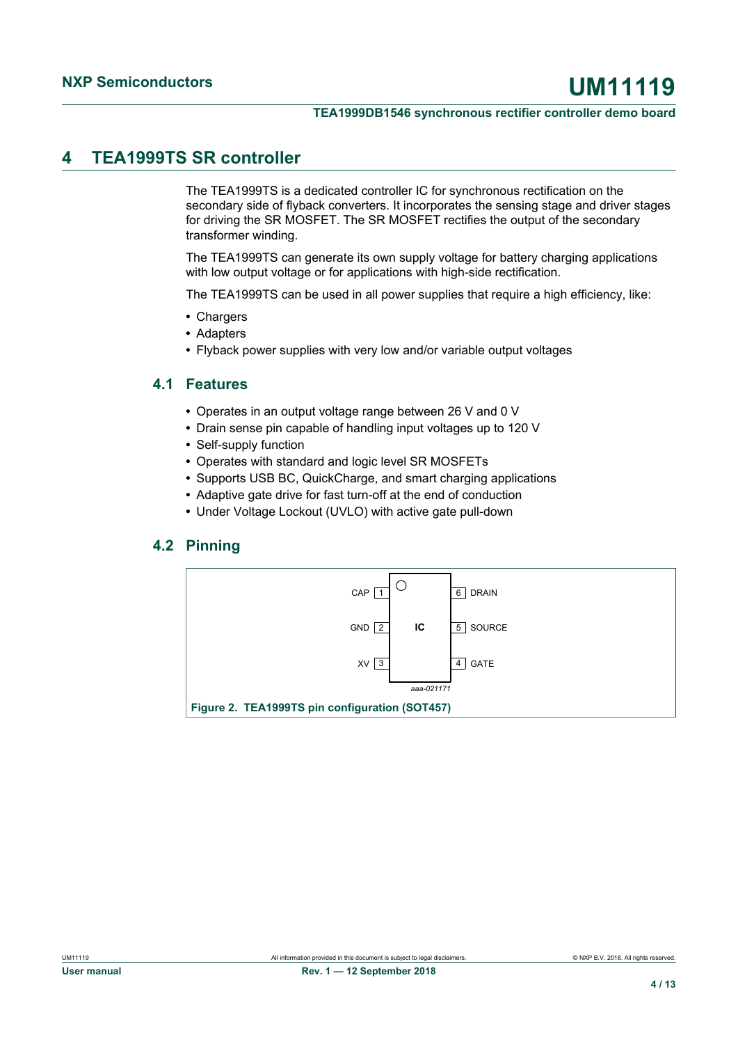## <span id="page-3-0"></span>**4 TEA1999TS SR controller**

The TEA1999TS is a dedicated controller IC for synchronous rectification on the secondary side of flyback converters. It incorporates the sensing stage and driver stages for driving the SR MOSFET. The SR MOSFET rectifies the output of the secondary transformer winding.

The TEA1999TS can generate its own supply voltage for battery charging applications with low output voltage or for applications with high-side rectification.

The TEA1999TS can be used in all power supplies that require a high efficiency, like:

- **•** Chargers
- **•** Adapters
- <span id="page-3-1"></span>**•** Flyback power supplies with very low and/or variable output voltages

### **4.1 Features**

- **•** Operates in an output voltage range between 26 V and 0 V
- **•** Drain sense pin capable of handling input voltages up to 120 V
- **•** Self-supply function
- **•** Operates with standard and logic level SR MOSFETs
- **•** Supports USB BC, QuickCharge, and smart charging applications
- **•** Adaptive gate drive for fast turn-off at the end of conduction
- <span id="page-3-2"></span>**•** Under Voltage Lockout (UVLO) with active gate pull-down

### **4.2 Pinning**

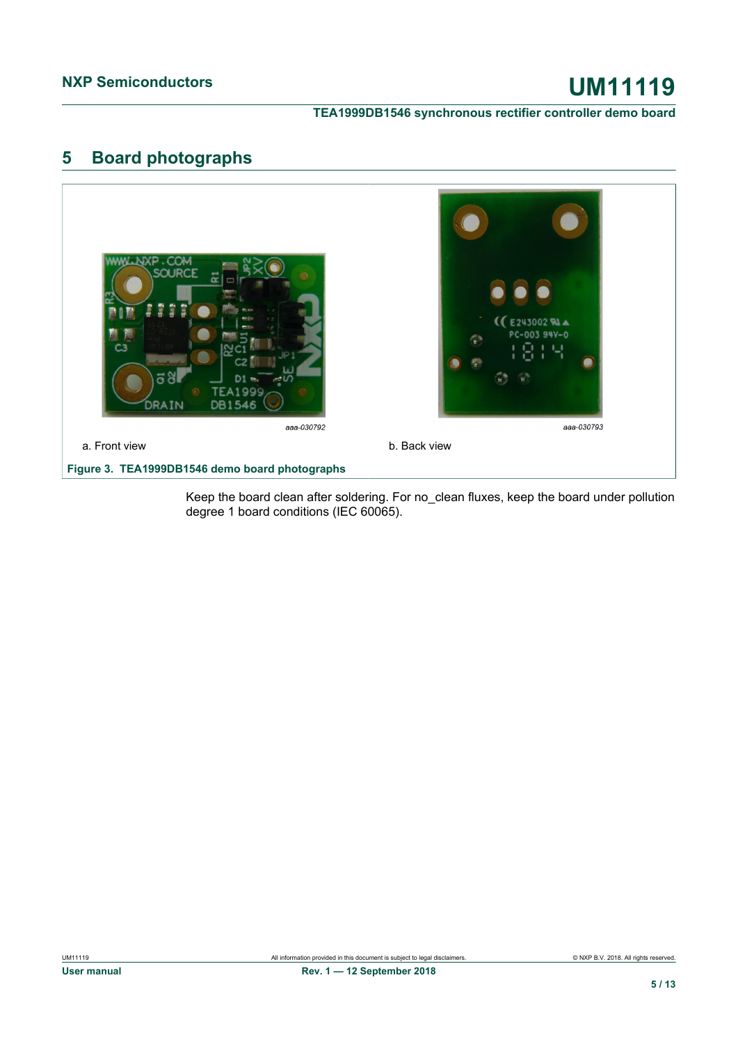## <span id="page-4-0"></span>**5 Board photographs**



Keep the board clean after soldering. For no\_clean fluxes, keep the board under pollution degree 1 board conditions (IEC 60065).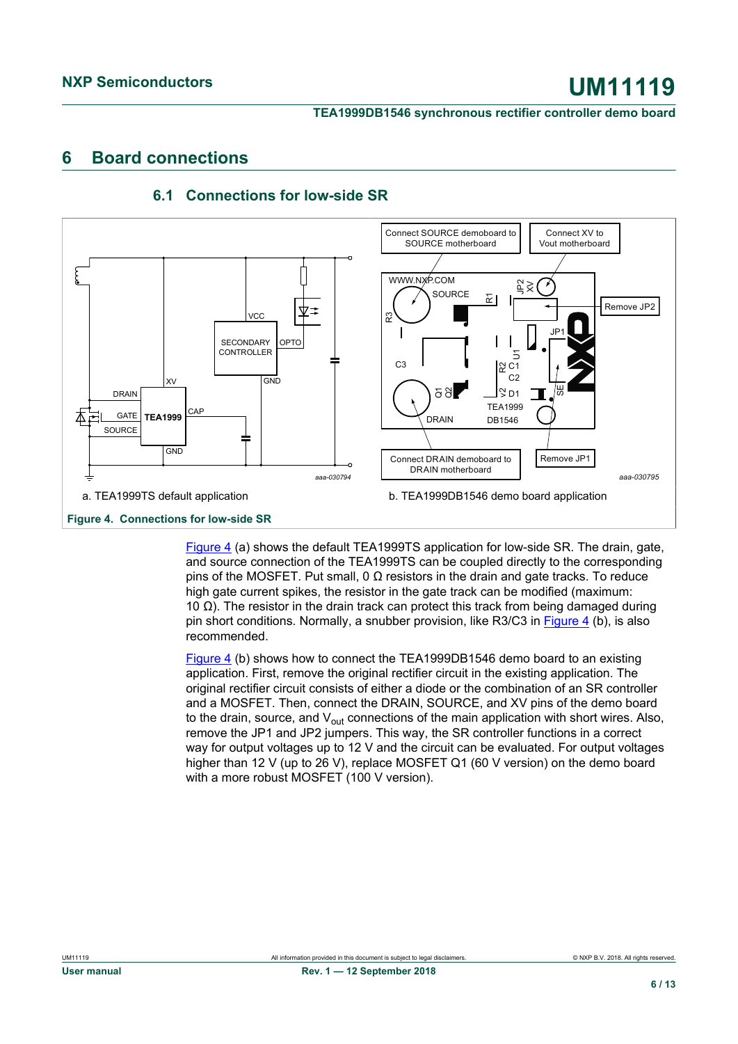## <span id="page-5-1"></span>**6 Board connections**



## <span id="page-5-2"></span>**6.1 Connections for low-side SR**

<span id="page-5-0"></span>[Figure 4](#page-5-0) (a) shows the default TEA1999TS application for low-side SR. The drain, gate, and source connection of the TEA1999TS can be coupled directly to the corresponding pins of the MOSFET. Put small, 0 Ω resistors in the drain and gate tracks. To reduce high gate current spikes, the resistor in the gate track can be modified (maximum: 10 Ω). The resistor in the drain track can protect this track from being damaged during pin short conditions. Normally, a snubber provision, like R3/C3 in [Figure 4](#page-5-0) (b), is also recommended.

[Figure 4](#page-5-0) (b) shows how to connect the TEA1999DB1546 demo board to an existing application. First, remove the original rectifier circuit in the existing application. The original rectifier circuit consists of either a diode or the combination of an SR controller and a MOSFET. Then, connect the DRAIN, SOURCE, and XV pins of the demo board to the drain, source, and  $V_{\text{out}}$  connections of the main application with short wires. Also, remove the JP1 and JP2 jumpers. This way, the SR controller functions in a correct way for output voltages up to 12 V and the circuit can be evaluated. For output voltages higher than 12 V (up to 26 V), replace MOSFET Q1 (60 V version) on the demo board with a more robust MOSFET (100 V version).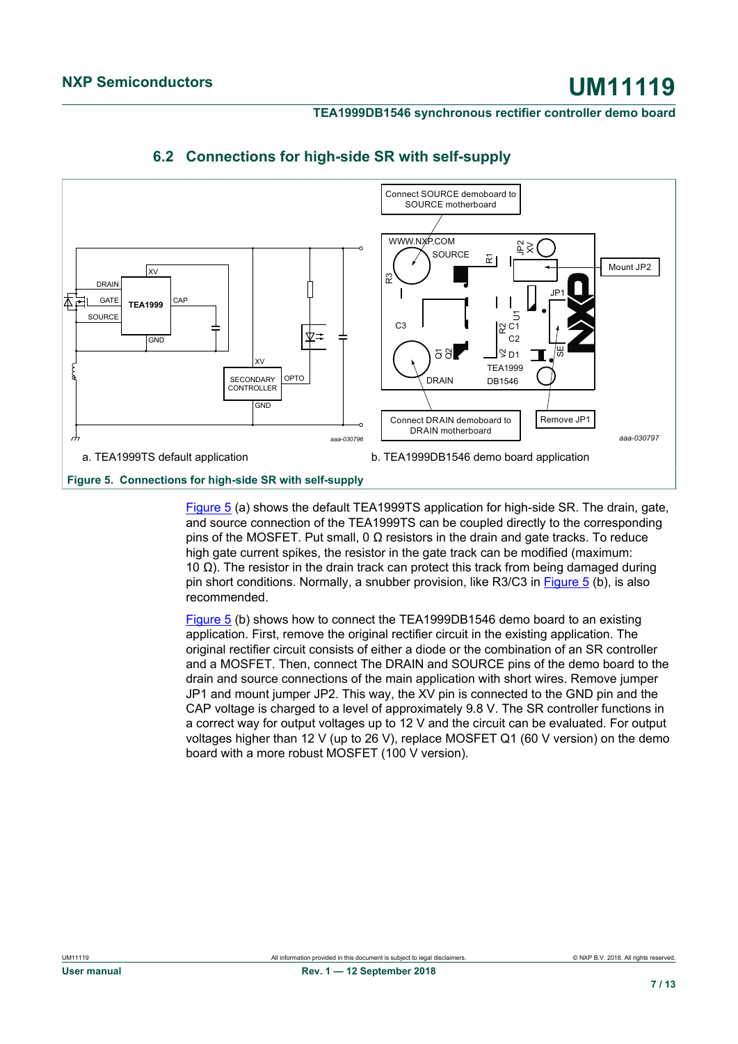

## <span id="page-6-1"></span>**6.2 Connections for high-side SR with self-supply**

<span id="page-6-0"></span>**Figure 5. Connections for high-side SR with self-supply**

[Figure 5](#page-6-0) (a) shows the default TEA1999TS application for high-side SR. The drain, gate, and source connection of the TEA1999TS can be coupled directly to the corresponding pins of the MOSFET. Put small, 0  $\Omega$  resistors in the drain and gate tracks. To reduce high gate current spikes, the resistor in the gate track can be modified (maximum: 10 Ω). The resistor in the drain track can protect this track from being damaged during pin short conditions. Normally, a snubber provision, like R3/C3 in [Figure 5](#page-6-0) (b), is also recommended.

[Figure 5](#page-6-0) (b) shows how to connect the TEA1999DB1546 demo board to an existing application. First, remove the original rectifier circuit in the existing application. The original rectifier circuit consists of either a diode or the combination of an SR controller and a MOSFET. Then, connect The DRAIN and SOURCE pins of the demo board to the drain and source connections of the main application with short wires. Remove jumper JP1 and mount jumper JP2. This way, the XV pin is connected to the GND pin and the CAP voltage is charged to a level of approximately 9.8 V. The SR controller functions in a correct way for output voltages up to 12 V and the circuit can be evaluated. For output voltages higher than 12 V (up to 26 V), replace MOSFET Q1 (60 V version) on the demo board with a more robust MOSFET (100 V version).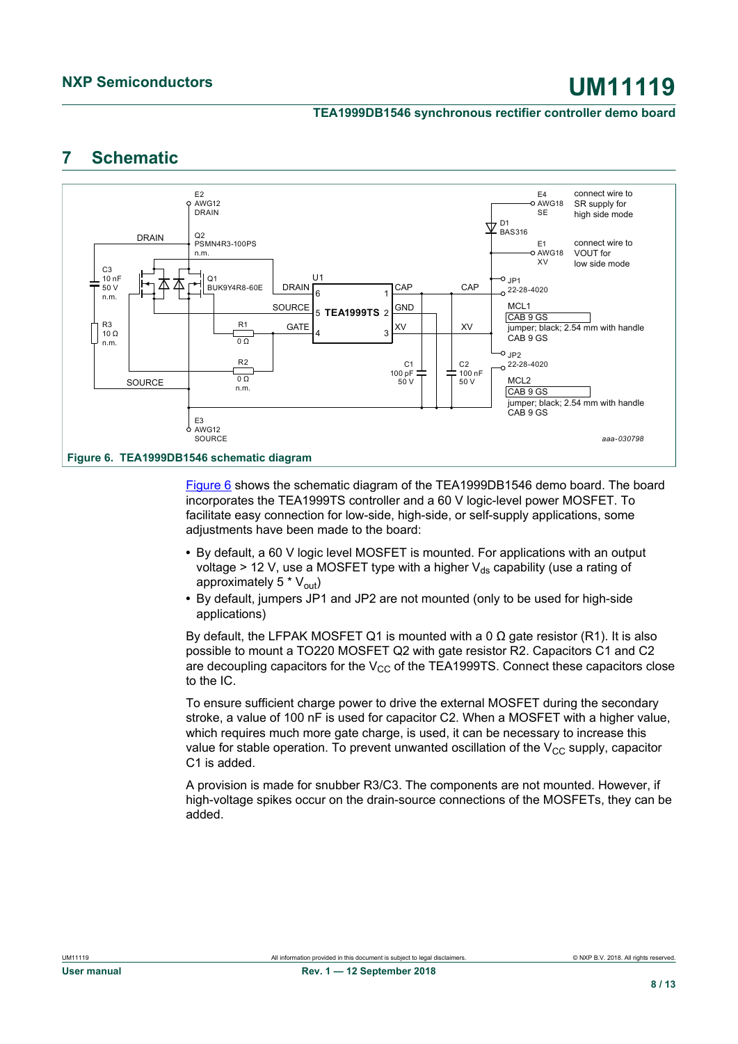## <span id="page-7-1"></span>**7 Schematic**

<span id="page-7-0"></span>

[Figure 6](#page-7-0) shows the schematic diagram of the TEA1999DB1546 demo board. The board incorporates the TEA1999TS controller and a 60 V logic-level power MOSFET. To facilitate easy connection for low-side, high-side, or self-supply applications, some adjustments have been made to the board:

- **•** By default, a 60 V logic level MOSFET is mounted. For applications with an output voltage > 12 V, use a MOSFET type with a higher  $V_{ds}$  capability (use a rating of approximately  $5 * V_{out}$ )
- **•** By default, jumpers JP1 and JP2 are not mounted (only to be used for high-side applications)

By default, the LFPAK MOSFET Q1 is mounted with a 0  $Ω$  gate resistor (R1). It is also possible to mount a TO220 MOSFET Q2 with gate resistor R2. Capacitors C1 and C2 are decoupling capacitors for the  $V_{CC}$  of the TEA1999TS. Connect these capacitors close to the IC.

To ensure sufficient charge power to drive the external MOSFET during the secondary stroke, a value of 100 nF is used for capacitor C2. When a MOSFET with a higher value, which requires much more gate charge, is used, it can be necessary to increase this value for stable operation. To prevent unwanted oscillation of the  $V_{CC}$  supply, capacitor C1 is added.

A provision is made for snubber R3/C3. The components are not mounted. However, if high-voltage spikes occur on the drain-source connections of the MOSFETs, they can be added.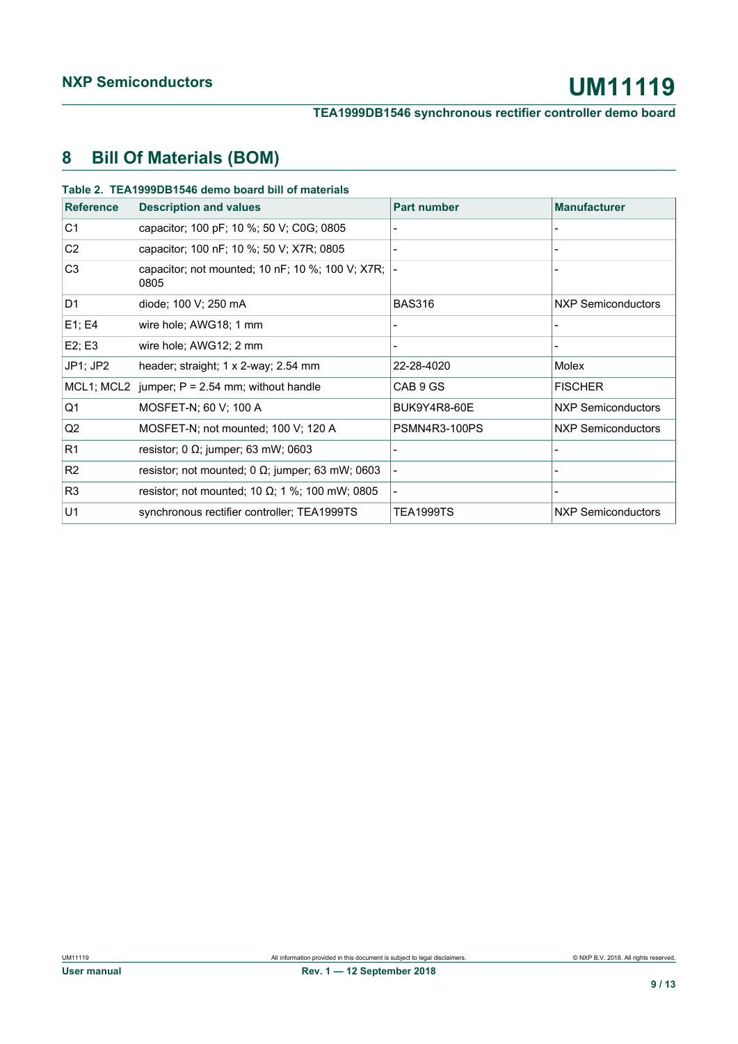## <span id="page-8-0"></span>**8 Bill Of Materials (BOM)**

| <b>Reference</b> | <b>Description and values</b>                               | <b>Part number</b> | <b>Manufacturer</b>       |
|------------------|-------------------------------------------------------------|--------------------|---------------------------|
| C <sub>1</sub>   | capacitor; 100 pF; 10 %; 50 V; C0G; 0805                    |                    |                           |
| C <sub>2</sub>   | capacitor; 100 nF; 10 %; 50 V; X7R; 0805                    |                    |                           |
| C <sub>3</sub>   | capacitor; not mounted; 10 $nF$ ; 10 %; 100 V; X7R;<br>0805 |                    |                           |
| D <sub>1</sub>   | diode; 100 V; 250 mA                                        | <b>BAS316</b>      | NXP Semiconductors        |
| E1; E4           | wire hole; AWG18; 1 mm                                      |                    |                           |
| E2; E3           | wire hole; AWG12; 2 mm                                      |                    |                           |
| JP1; JP2         | header; straight; $1 \times 2$ -way; 2.54 mm                | 22-28-4020         | Molex                     |
| MCL1; MCL2       | jumper; $P = 2.54$ mm; without handle                       | CAB 9 GS           | <b>FISCHER</b>            |
| Q1               | MOSFET-N; 60 V; 100 A                                       | BUK9Y4R8-60E       | NXP Semiconductors        |
| Q <sub>2</sub>   | MOSFET-N; not mounted; 100 V; 120 A                         | PSMN4R3-100PS      | <b>NXP Semiconductors</b> |
| R1               | resistor; $0 \Omega$ ; jumper; 63 mW; 0603                  |                    |                           |
| R <sub>2</sub>   | resistor; not mounted; $0 \Omega$ ; jumper; 63 mW; 0603     |                    |                           |
| R <sub>3</sub>   | resistor; not mounted; 10 $\Omega$ ; 1 %; 100 mW; 0805      |                    |                           |
| U1               | synchronous rectifier controller; TEA1999TS                 | <b>TEA1999TS</b>   | <b>NXP Semiconductors</b> |

<u> 1980 - Johann Barn, mars eta bainar eta idazlea (</u>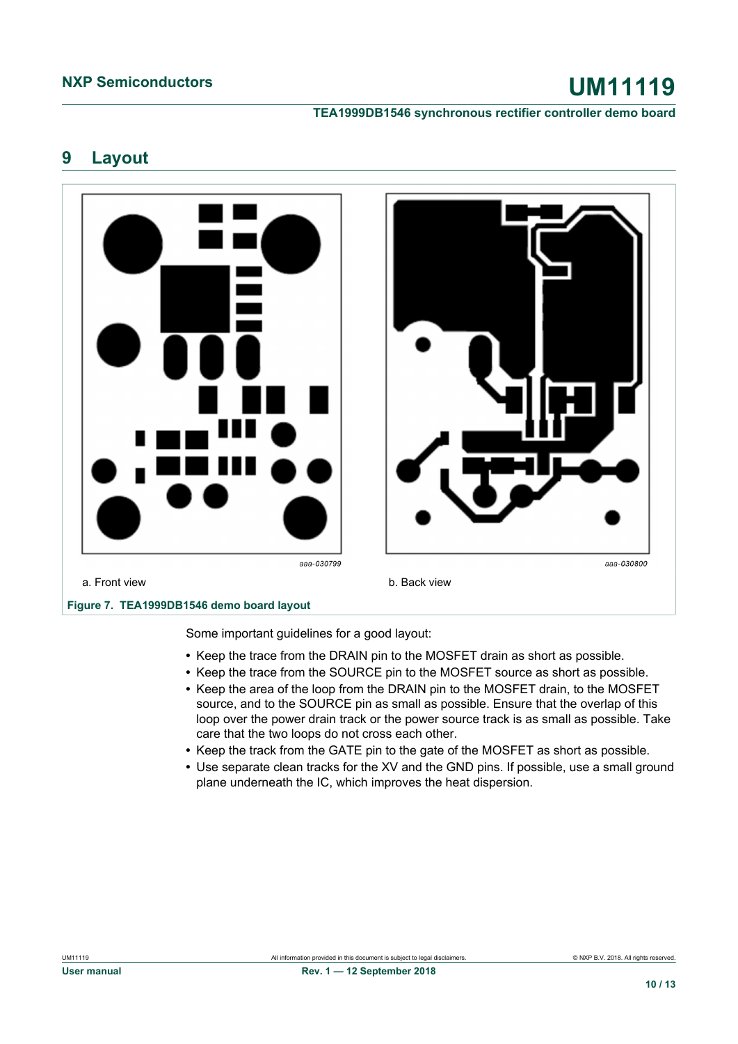## <span id="page-9-0"></span>**9 Layout**



Some important guidelines for a good layout:

- **•** Keep the trace from the DRAIN pin to the MOSFET drain as short as possible.
- **•** Keep the trace from the SOURCE pin to the MOSFET source as short as possible.
- **•** Keep the area of the loop from the DRAIN pin to the MOSFET drain, to the MOSFET source, and to the SOURCE pin as small as possible. Ensure that the overlap of this loop over the power drain track or the power source track is as small as possible. Take care that the two loops do not cross each other.
- **•** Keep the track from the GATE pin to the gate of the MOSFET as short as possible.
- **•** Use separate clean tracks for the XV and the GND pins. If possible, use a small ground plane underneath the IC, which improves the heat dispersion.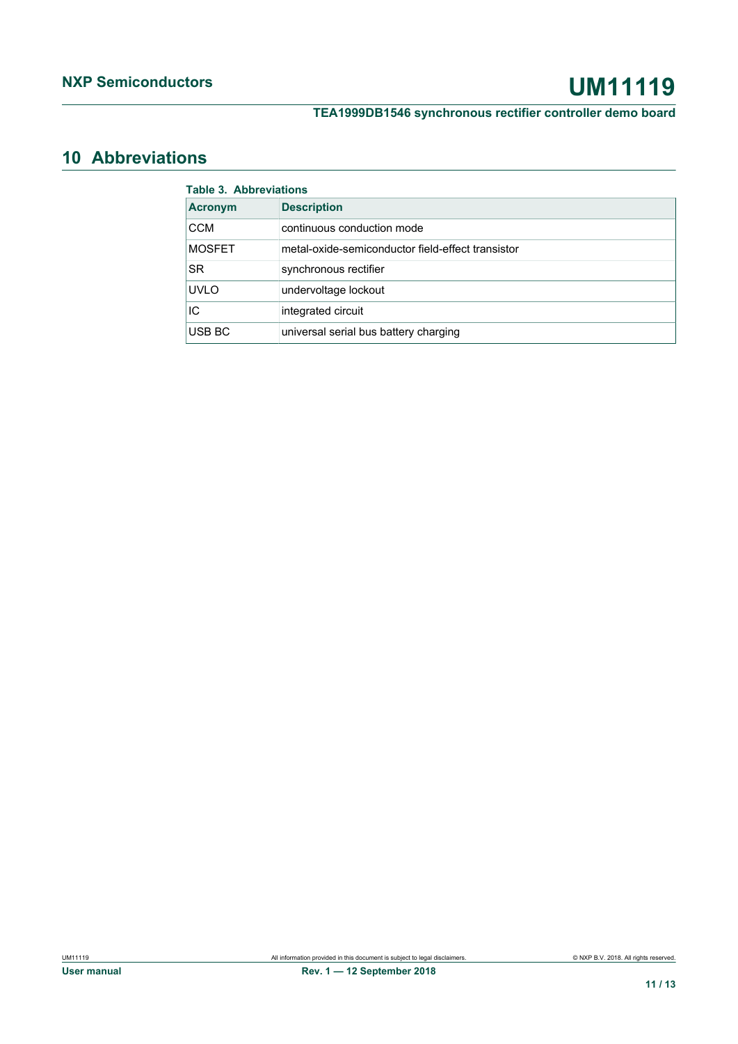# **NXP Semiconductors UM11119**

**TEA1999DB1546 synchronous rectifier controller demo board**

## <span id="page-10-0"></span>**10 Abbreviations**

| <b>Table 3. Abbreviations</b> |                                                   |  |
|-------------------------------|---------------------------------------------------|--|
| <b>Acronym</b>                | <b>Description</b>                                |  |
| <b>CCM</b>                    | continuous conduction mode                        |  |
| <b>MOSFET</b>                 | metal-oxide-semiconductor field-effect transistor |  |
| SR.                           | synchronous rectifier                             |  |
| <b>UVLO</b>                   | undervoltage lockout                              |  |
| IC                            | integrated circuit                                |  |
| USB BC                        | universal serial bus battery charging             |  |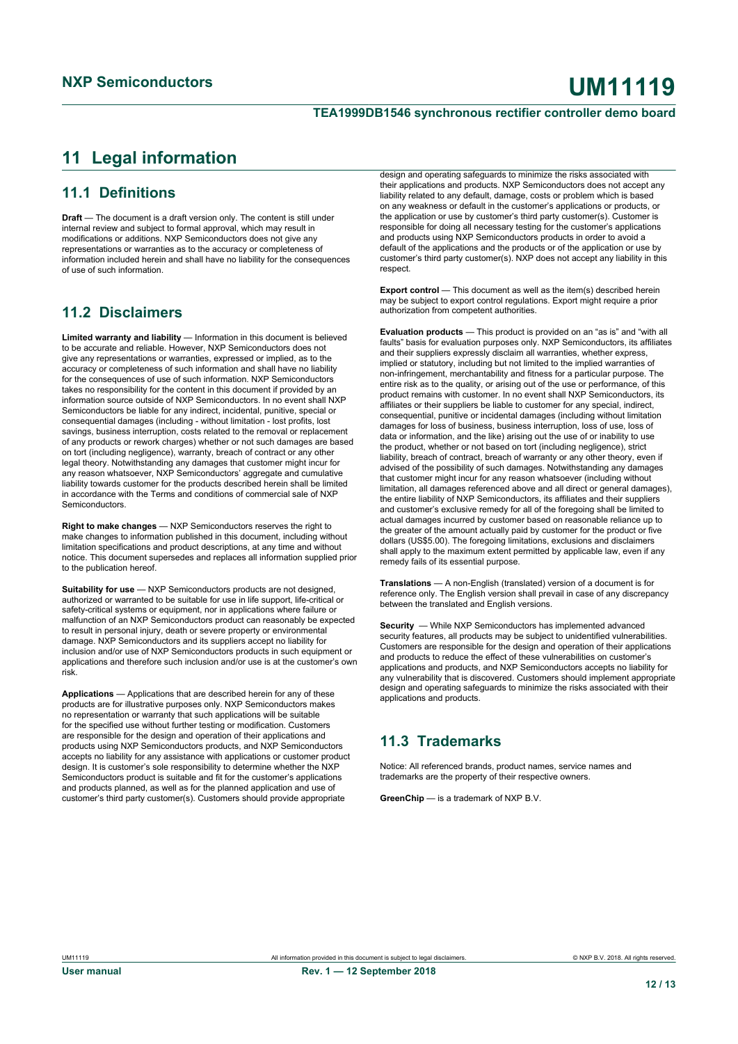## <span id="page-11-0"></span>**11 Legal information**

## **11.1 Definitions**

**Draft** — The document is a draft version only. The content is still under internal review and subject to formal approval, which may result in modifications or additions. NXP Semiconductors does not give any representations or warranties as to the accuracy or completeness of information included herein and shall have no liability for the consequences of use of such information.

## **11.2 Disclaimers**

**Limited warranty and liability** — Information in this document is believed to be accurate and reliable. However, NXP Semiconductors does not give any representations or warranties, expressed or implied, as to the accuracy or completeness of such information and shall have no liability for the consequences of use of such information. NXP Semiconductors takes no responsibility for the content in this document if provided by an information source outside of NXP Semiconductors. In no event shall NXP Semiconductors be liable for any indirect, incidental, punitive, special or consequential damages (including - without limitation - lost profits, lost savings, business interruption, costs related to the removal or replacement of any products or rework charges) whether or not such damages are based on tort (including negligence), warranty, breach of contract or any other legal theory. Notwithstanding any damages that customer might incur for any reason whatsoever, NXP Semiconductors' aggregate and cumulative liability towards customer for the products described herein shall be limited in accordance with the Terms and conditions of commercial sale of NXP Semiconductors.

**Right to make changes** — NXP Semiconductors reserves the right to make changes to information published in this document, including without limitation specifications and product descriptions, at any time and without notice. This document supersedes and replaces all information supplied prior to the publication hereof.

**Suitability for use** — NXP Semiconductors products are not designed, authorized or warranted to be suitable for use in life support, life-critical or safety-critical systems or equipment, nor in applications where failure or malfunction of an NXP Semiconductors product can reasonably be expected to result in personal injury, death or severe property or environmental damage. NXP Semiconductors and its suppliers accept no liability for inclusion and/or use of NXP Semiconductors products in such equipment or applications and therefore such inclusion and/or use is at the customer's own risk.

**Applications** — Applications that are described herein for any of these products are for illustrative purposes only. NXP Semiconductors makes no representation or warranty that such applications will be suitable for the specified use without further testing or modification. Customers are responsible for the design and operation of their applications and products using NXP Semiconductors products, and NXP Semiconductors accepts no liability for any assistance with applications or customer product design. It is customer's sole responsibility to determine whether the NXP Semiconductors product is suitable and fit for the customer's applications and products planned, as well as for the planned application and use of customer's third party customer(s). Customers should provide appropriate

design and operating safeguards to minimize the risks associated with their applications and products. NXP Semiconductors does not accept any liability related to any default, damage, costs or problem which is based on any weakness or default in the customer's applications or products, or the application or use by customer's third party customer(s). Customer is responsible for doing all necessary testing for the customer's applications and products using NXP Semiconductors products in order to avoid a default of the applications and the products or of the application or use by customer's third party customer(s). NXP does not accept any liability in this respect

**Export control** — This document as well as the item(s) described herein may be subject to export control regulations. Export might require a prior authorization from competent authorities.

**Evaluation products** — This product is provided on an "as is" and "with all faults" basis for evaluation purposes only. NXP Semiconductors, its affiliates and their suppliers expressly disclaim all warranties, whether express, implied or statutory, including but not limited to the implied warranties of non-infringement, merchantability and fitness for a particular purpose. The entire risk as to the quality, or arising out of the use or performance, of this product remains with customer. In no event shall NXP Semiconductors, its affiliates or their suppliers be liable to customer for any special, indirect consequential, punitive or incidental damages (including without limitation damages for loss of business, business interruption, loss of use, loss of data or information, and the like) arising out the use of or inability to use the product, whether or not based on tort (including negligence), strict liability, breach of contract, breach of warranty or any other theory, even if advised of the possibility of such damages. Notwithstanding any damages that customer might incur for any reason whatsoever (including without limitation, all damages referenced above and all direct or general damages), the entire liability of NXP Semiconductors, its affiliates and their suppliers and customer's exclusive remedy for all of the foregoing shall be limited to actual damages incurred by customer based on reasonable reliance up to the greater of the amount actually paid by customer for the product or five dollars (US\$5.00). The foregoing limitations, exclusions and disclaimers shall apply to the maximum extent permitted by applicable law, even if any remedy fails of its essential purpose.

**Translations** — A non-English (translated) version of a document is for reference only. The English version shall prevail in case of any discrepancy between the translated and English versions.

**Security** — While NXP Semiconductors has implemented advanced security features, all products may be subject to unidentified vulnerabilities. Customers are responsible for the design and operation of their applications and products to reduce the effect of these vulnerabilities on customer's applications and products, and NXP Semiconductors accepts no liability for any vulnerability that is discovered. Customers should implement appropriate design and operating safeguards to minimize the risks associated with their applications and products.

## **11.3 Trademarks**

Notice: All referenced brands, product names, service names and trademarks are the property of their respective owners.

**GreenChin** — is a trademark of NXP B.V.